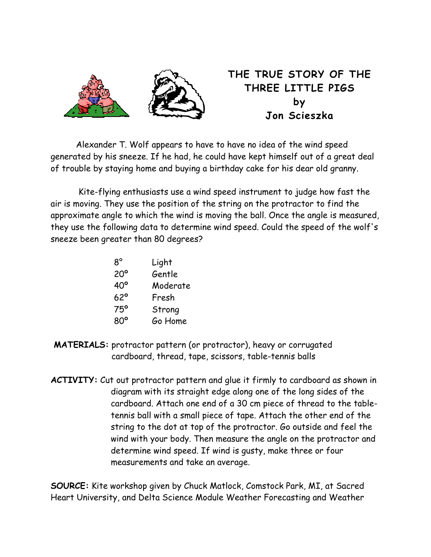

## **THE TRUE STORY OF THE THREE LITTLE PIGS by Jon Scieszka**

Alexander T. Wolf appears to have to have no idea of the wind speed generated by his sneeze. If he had, he could have kept himself out of a great deal of trouble by staying home and buying a birthday cake for his dear old granny.

Kite-flying enthusiasts use a wind speed instrument to judge how fast the air is moving. They use the position of the string on the protractor to find the approximate angle to which the wind is moving the ball. Once the angle is measured, they use the following data to determine wind speed. Could the speed of the wolf's sneeze been greater than 80 degrees?

| $8^{\circ}$  | Light    |
|--------------|----------|
| $20^{\circ}$ | Gentle   |
| $40^{\circ}$ | Moderate |
| $62^{\circ}$ | Fresh    |
| 75°          | Strong   |
| $80^{\circ}$ | Go Home  |

- **MATERIALS:** protractor pattern (or protractor), heavy or corrugated cardboard, thread, tape, scissors, table-tennis balls
- **ACTIVITY:** Cut out protractor pattern and glue it firmly to cardboard as shown in diagram with its straight edge along one of the long sides of the cardboard. Attach one end of a 30 cm piece of thread to the tabletennis ball with a small piece of tape. Attach the other end of the string to the dot at top of the protractor. Go outside and feel the wind with your body. Then measure the angle on the protractor and determine wind speed. If wind is gusty, make three or four measurements and take an average.

**SOURCE:** Kite workshop given by Chuck Matlock, Comstock Park, MI, at Sacred Heart University, and Delta Science Module Weather Forecasting and Weather